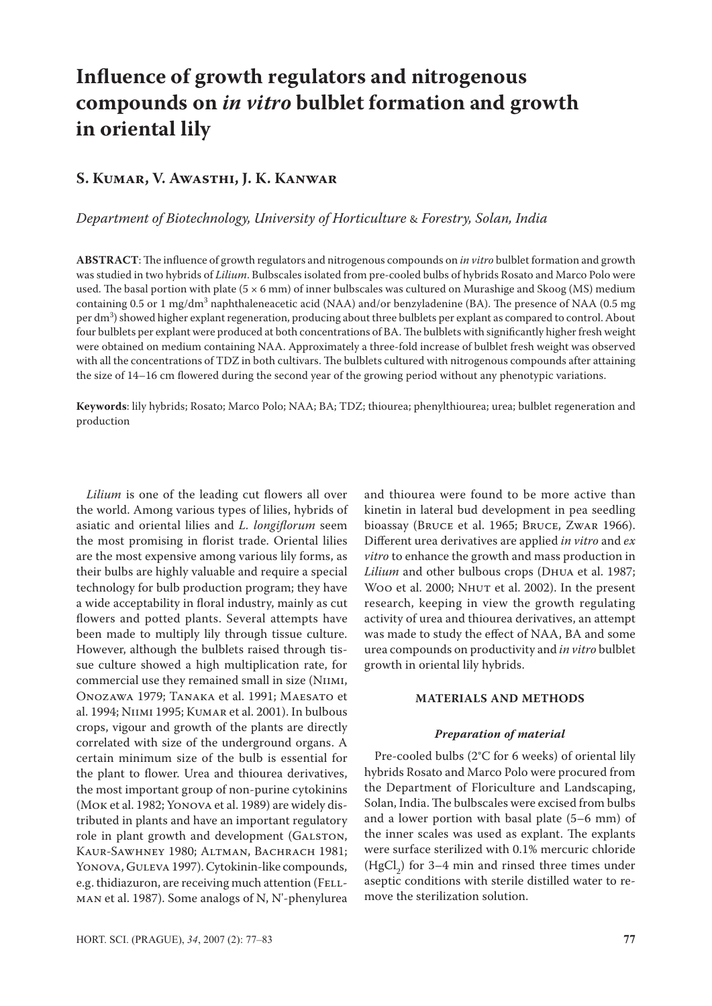# **Influence of growth regulators and nitrogenous compounds on** *in vitro* **bulblet formation and growth in oriental lily**

# **S. Kumar, V. Awasthi, J. K. Kanwar**

# *Department of Biotechnology, University of Horticulture* & *Forestry, Solan, India*

**ABSTRACT**: The influence of growth regulators and nitrogenous compounds on *in vitro* bulblet formation and growth was studied in two hybrids of *Lilium*. Bulbscales isolated from pre-cooled bulbs of hybrids Rosato and Marco Polo were used. The basal portion with plate ( $5 \times 6$  mm) of inner bulbscales was cultured on Murashige and Skoog (MS) medium containing 0.5 or 1 mg/dm<sup>3</sup> naphthaleneacetic acid (NAA) and/or benzyladenine (BA). The presence of NAA (0.5 mg per dm<sup>3</sup>) showed higher explant regeneration, producing about three bulblets per explant as compared to control. About four bulblets per explant were produced at both concentrations of BA. The bulblets with significantly higher fresh weight were obtained on medium containing NAA. Approximately a three-fold increase of bulblet fresh weight was observed with all the concentrations of TDZ in both cultivars. The bulblets cultured with nitrogenous compounds after attaining the size of 14–16 cm flowered during the second year of the growing period without any phenotypic variations.

**Keywords**: lily hybrids; Rosato; Marco Polo; NAA; BA; TDZ; thiourea; phenylthiourea; urea; bulblet regeneration and production

*Lilium* is one of the leading cut flowers all over the world. Among various types of lilies, hybrids of asiatic and oriental lilies and *L. longiflorum* seem the most promising in florist trade. Oriental lilies are the most expensive among various lily forms, as their bulbs are highly valuable and require a special technology for bulb production program; they have a wide acceptability in floral industry, mainly as cut flowers and potted plants. Several attempts have been made to multiply lily through tissue culture. However, although the bulblets raised through tissue culture showed a high multiplication rate, for commercial use they remained small in size (Niimi, Onozawa 1979; Tanaka et al. 1991; Maesato et al. 1994; Niimi 1995; Kumar et al. 2001). In bulbous crops, vigour and growth of the plants are directly correlated with size of the underground organs. A certain minimum size of the bulb is essential for the plant to flower. Urea and thiourea derivatives, the most important group of non-purine cytokinins (Mok et al. 1982; Yonova et al. 1989) are widely distributed in plants and have an important regulatory role in plant growth and development (GALSTON, Kaur-Sawhney 1980; Altman, Bachrach 1981; YONOVA, GULEVA 1997). Cytokinin-like compounds, e.g. thidiazuron, are receiving much attention (FELLman et al. 1987). Some analogs of N, N'-phenylurea

and thiourea were found to be more active than kinetin in lateral bud development in pea seedling bioassay (Bruce et al. 1965; Bruce, Zwar 1966). Different urea derivatives are applied *in vitro* and *ex vitro* to enhance the growth and mass production in *Lilium* and other bulbous crops (Dhua et al. 1987; Woo et al. 2000; NHUT et al. 2002). In the present research, keeping in view the growth regulating activity of urea and thiourea derivatives, an attempt was made to study the effect of NAA, BA and some urea compounds on productivity and *in vitro* bulblet growth in oriental lily hybrids.

# **MATERIALS AND METHODS**

#### *Preparation of material*

Pre-cooled bulbs (2°C for 6 weeks) of oriental lily hybrids Rosato and Marco Polo were procured from the Department of Floriculture and Landscaping, Solan, India. The bulbscales were excised from bulbs and a lower portion with basal plate (5–6 mm) of the inner scales was used as explant. The explants were surface sterilized with 0.1% mercuric chloride  $(HgCl<sub>2</sub>)$  for 3–4 min and rinsed three times under aseptic conditions with sterile distilled water to remove the sterilization solution.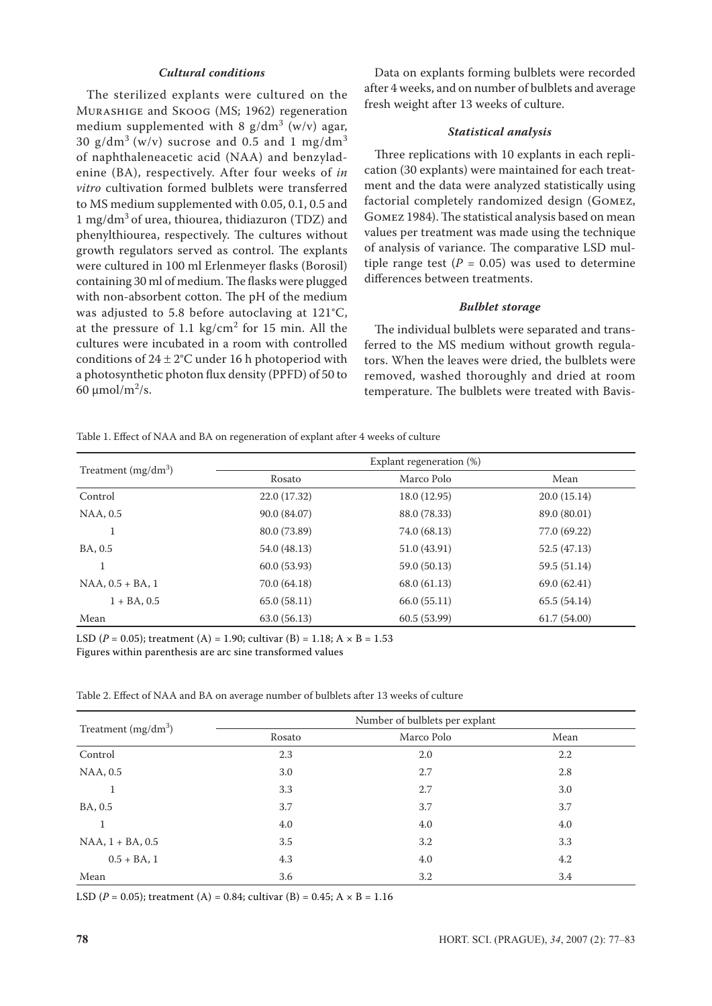# *Cultural conditions*

The sterilized explants were cultured on the Murashige and Skoog (MS; 1962) regeneration medium supplemented with 8  $g/dm^3$  (w/v) agar, 30  $g/dm^3$  (w/v) sucrose and 0.5 and 1 mg/dm<sup>3</sup> of naphthaleneacetic acid (NAA) and benzyladenine (BA), respectively. After four weeks of *in vitro* cultivation formed bulblets were transferred to MS medium supplemented with 0.05, 0.1, 0.5 and 1 mg/dm<sup>3</sup> of urea, thiourea, thidiazuron (TDZ) and phenylthiourea, respectively. The cultures without growth regulators served as control. The explants were cultured in 100 ml Erlenmeyer flasks (Borosil) containing 30 ml of medium. The flasks were plugged with non-absorbent cotton. The pH of the medium was adjusted to 5.8 before autoclaving at 121°C, at the pressure of  $1.1 \text{ kg/cm}^2$  for 15 min. All the cultures were incubated in a room with controlled conditions of  $24 \pm 2$ °C under 16 h photoperiod with a photosynthetic photon flux density (PPFD) of 50 to 60 μmol/m<sup>2</sup>/s.

Data on explants forming bulblets were recorded after 4 weeks, and on number of bulblets and average fresh weight after 13 weeks of culture.

#### *Statistical analysis*

Three replications with 10 explants in each replication (30 explants) were maintained for each treatment and the data were analyzed statistically using factorial completely randomized design (Gomez, Gomez 1984). The statistical analysis based on mean values per treatment was made using the technique of analysis of variance. The comparative LSD multiple range test  $(P = 0.05)$  was used to determine differences between treatments.

#### *Bulblet storage*

The individual bulblets were separated and transferred to the MS medium without growth regulators. When the leaves were dried, the bulblets were removed, washed thoroughly and dried at room temperature. The bulblets were treated with Bavis-

Table 1. Effect of NAA and BA on regeneration of explant after 4 weeks of culture

| Treatment $(mg/dm^3)$  | Explant regeneration (%) |              |              |
|------------------------|--------------------------|--------------|--------------|
|                        | Rosato                   | Marco Polo   | Mean         |
| Control                | 22.0 (17.32)             | 18.0 (12.95) | 20.0(15.14)  |
| NAA, 0.5               | 90.0 (84.07)             | 88.0 (78.33) | 89.0 (80.01) |
| 1                      | 80.0 (73.89)             | 74.0 (68.13) | 77.0 (69.22) |
| BA, 0.5                | 54.0 (48.13)             | 51.0 (43.91) | 52.5 (47.13) |
|                        | 60.0(53.93)              | 59.0 (50.13) | 59.5 (51.14) |
| $NAA$ , $0.5 + BA$ , 1 | 70.0 (64.18)             | 68.0 (61.13) | 69.0(62.41)  |
| $1 + BA$ , 0.5         | 65.0(58.11)              | 66.0(55.11)  | 65.5(54.14)  |
| Mean                   | 63.0(56.13)              | 60.5(53.99)  | 61.7(54.00)  |

LSD ( $P = 0.05$ ); treatment (A) = 1.90; cultivar (B) = 1.18; A  $\times$  B = 1.53

Figures within parenthesis are arc sine transformed values

Table 2. Effect of NAA and BA on average number of bulblets after 13 weeks of culture

| Treatment $(mg/dm3)$   | Number of bulblets per explant |            |      |
|------------------------|--------------------------------|------------|------|
|                        | Rosato                         | Marco Polo | Mean |
| Control                | 2.3                            | 2.0        | 2.2  |
| NAA, 0.5               | 3.0                            | 2.7        | 2.8  |
| 1                      | 3.3                            | 2.7        | 3.0  |
| BA, 0.5                | 3.7                            | 3.7        | 3.7  |
| 1                      | 4.0                            | 4.0        | 4.0  |
| $NAA$ , $1 + BA$ , 0.5 | 3.5                            | 3.2        | 3.3  |
| $0.5 + BA$ , 1         | 4.3                            | 4.0        | 4.2  |
| Mean                   | 3.6                            | 3.2        | 3.4  |

LSD ( $P = 0.05$ ); treatment (A) = 0.84; cultivar (B) = 0.45; A  $\times$  B = 1.16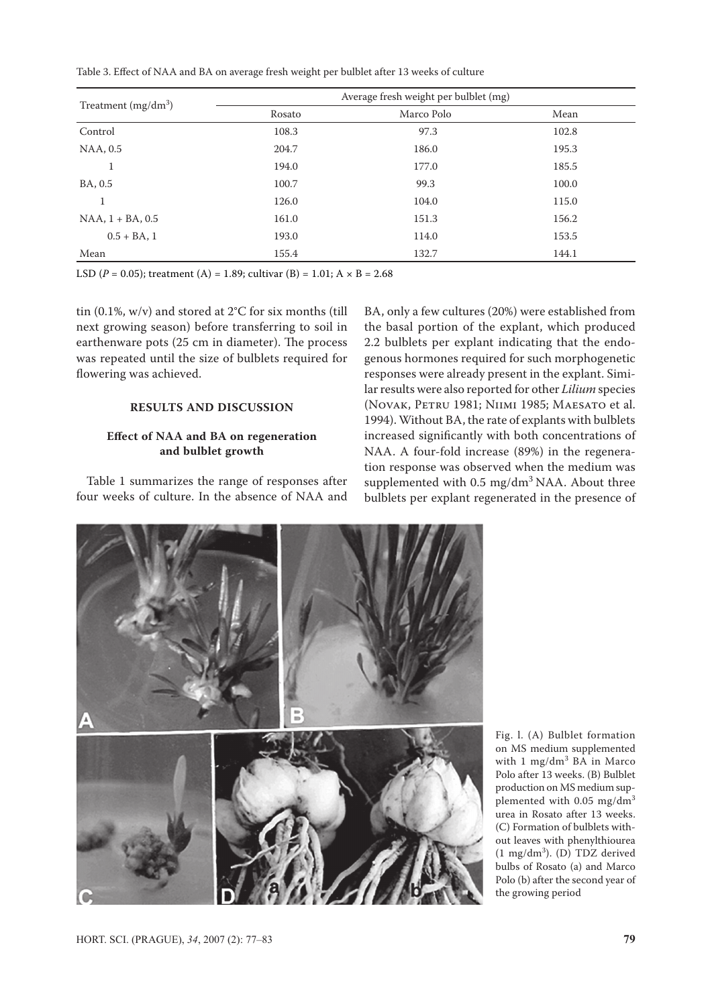Table 3. Effect of NAA and BA on average fresh weight per bulblet after 13 weeks of culture

|                        | Average fresh weight per bulblet (mg) |            |       |
|------------------------|---------------------------------------|------------|-------|
| Treatment $(mg/dm^3)$  | Rosato                                | Marco Polo | Mean  |
| Control                | 108.3                                 | 97.3       | 102.8 |
| NAA, 0.5               | 204.7                                 | 186.0      | 195.3 |
| T                      | 194.0                                 | 177.0      | 185.5 |
| BA, 0.5                | 100.7                                 | 99.3       | 100.0 |
|                        | 126.0                                 | 104.0      | 115.0 |
| $NAA$ , $1 + BA$ , 0.5 | 161.0                                 | 151.3      | 156.2 |
| $0.5 + BA$ , 1         | 193.0                                 | 114.0      | 153.5 |
| Mean                   | 155.4                                 | 132.7      | 144.1 |

LSD ( $P = 0.05$ ); treatment (A) = 1.89; cultivar (B) = 1.01; A  $\times$  B = 2.68

tin (0.1%, w/v) and stored at 2°C for six months (till next growing season) before transferring to soil in earthenware pots (25 cm in diameter). The process was repeated until the size of bulblets required for flowering was achieved.

## **RESULTS AND DISCUSSION**

## **Effect of NAA and BA on regeneration and bulblet growth**

Table 1 summarizes the range of responses after four weeks of culture. In the absence of NAA and

BA, only a few cultures (20%) were established from the basal portion of the explant, which produced 2.2 bulblets per explant indicating that the endogenous hormones required for such morphogenetic responses were already present in the explant. Similar results were also reported for other *Lilium* species (Novak, Petru 1981; Niimi 1985; Maesato et al. 1994). Without BA, the rate of explants with bulblets increased significantly with both concentrations of NAA. A four-fold increase (89%) in the regeneration response was observed when the medium was supplemented with  $0.5 \text{ mg/dm}^3 \text{ NAA}$ . About three bulblets per explant regenerated in the presence of



Fig. l. (A) Bulblet formation on MS medium supplemented with 1 mg/dm<sup>3</sup> BA in Marco Polo after 13 weeks. (B) Bulblet production on MS medium supplemented with  $0.05$  mg/dm<sup>3</sup> urea in Rosato after 13 weeks. (C) Formation of bulblets without leaves with phenylthiourea  $(1 \text{ mg/dm}^3)$ . (D) TDZ derived bulbs of Rosato (a) and Marco Polo (b) after the second year of the growing period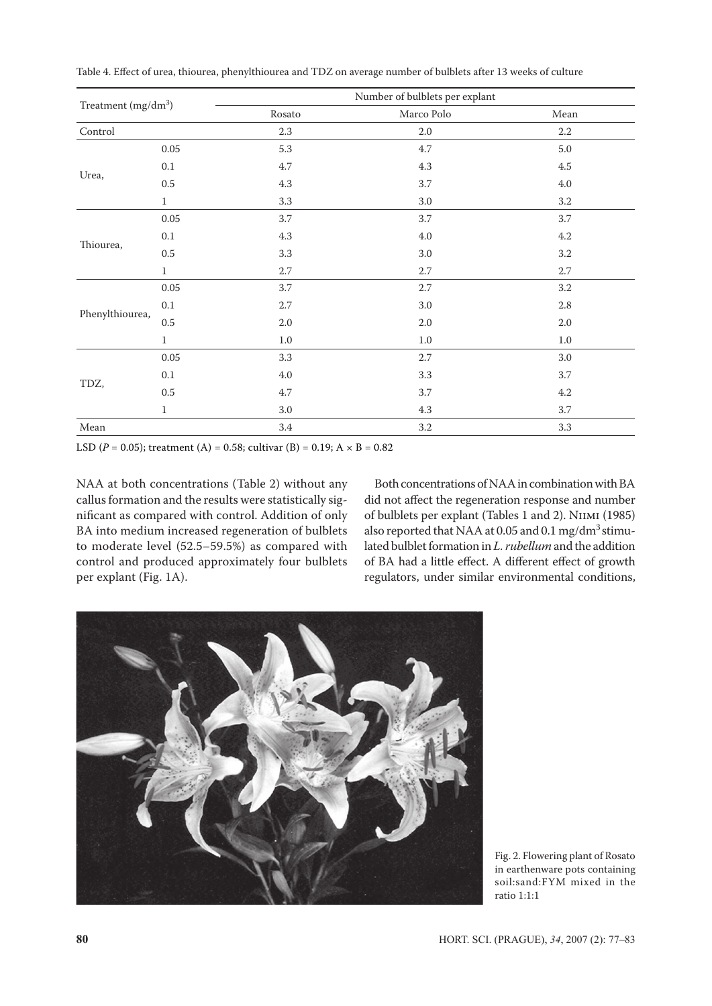| Treatment $(mg/dm^3)$ |              |         | Number of bulblets per explant |         |  |
|-----------------------|--------------|---------|--------------------------------|---------|--|
|                       |              | Rosato  | Marco Polo                     | Mean    |  |
| $\mbox{Control}$      |              | $2.3\,$ | $2.0\,$                        | $2.2\,$ |  |
| Urea,                 | 0.05         | 5.3     | 4.7                            | $5.0\,$ |  |
|                       | $0.1\,$      | 4.7     | 4.3                            | $4.5\,$ |  |
|                       | $0.5\,$      | 4.3     | 3.7                            | $4.0\,$ |  |
|                       | $\mathbf{1}$ | 3.3     | 3.0                            | 3.2     |  |
| Thiourea,             | $0.05\,$     | 3.7     | 3.7                            | 3.7     |  |
|                       | $0.1\,$      | 4.3     | $4.0\,$                        | $4.2\,$ |  |
|                       | $0.5\,$      | 3.3     | $3.0\,$                        | $3.2\,$ |  |
|                       | $1\,$        | $2.7\,$ | 2.7                            | $2.7\,$ |  |
| Phenylthiourea,       | 0.05         | 3.7     | 2.7                            | $3.2\,$ |  |
|                       | $0.1\,$      | 2.7     | $3.0\,$                        | $2.8\,$ |  |
|                       | $0.5\,$      | $2.0\,$ | $2.0\,$                        | $2.0\,$ |  |
|                       | $1\,$        | $1.0\,$ | $1.0\,$                        | $1.0\,$ |  |
| TDZ,                  | 0.05         | 3.3     | $2.7\,$                        | $3.0\,$ |  |
|                       | $0.1\,$      | 4.0     | 3.3                            | 3.7     |  |
|                       | $0.5\,$      | 4.7     | 3.7                            | $4.2\,$ |  |
|                       | $\mathbf{1}$ | $3.0\,$ | 4.3                            | 3.7     |  |
| Mean                  |              | 3.4     | 3.2                            | 3.3     |  |

Table 4. Effect of urea, thiourea, phenylthiourea and TDZ on average number of bulblets after 13 weeks of culture

LSD ( $P = 0.05$ ); treatment (A) = 0.58; cultivar (B) = 0.19; A  $\times$  B = 0.82

NAA at both concentrations (Table 2) without any callus formation and the results were statistically significant as compared with control. Addition of only BA into medium increased regeneration of bulblets to moderate level (52.5–59.5%) as compared with control and produced approximately four bulblets per explant (Fig. 1A).

Both concentrations of NAA in combination with BA did not affect the regeneration response and number of bulblets per explant (Tables 1 and 2). Niimi (1985) also reported that NAA at 0.05 and 0.1 mg/dm<sup>3</sup> stimulated bulblet formation in *L. rubellum* and the addition of BA had a little effect. A different effect of growth regulators, under similar environmental conditions,



Fig. 2. Flowering plant of Rosato in earthenware pots containing soil:sand:FYM mixed in the ratio 1:1:1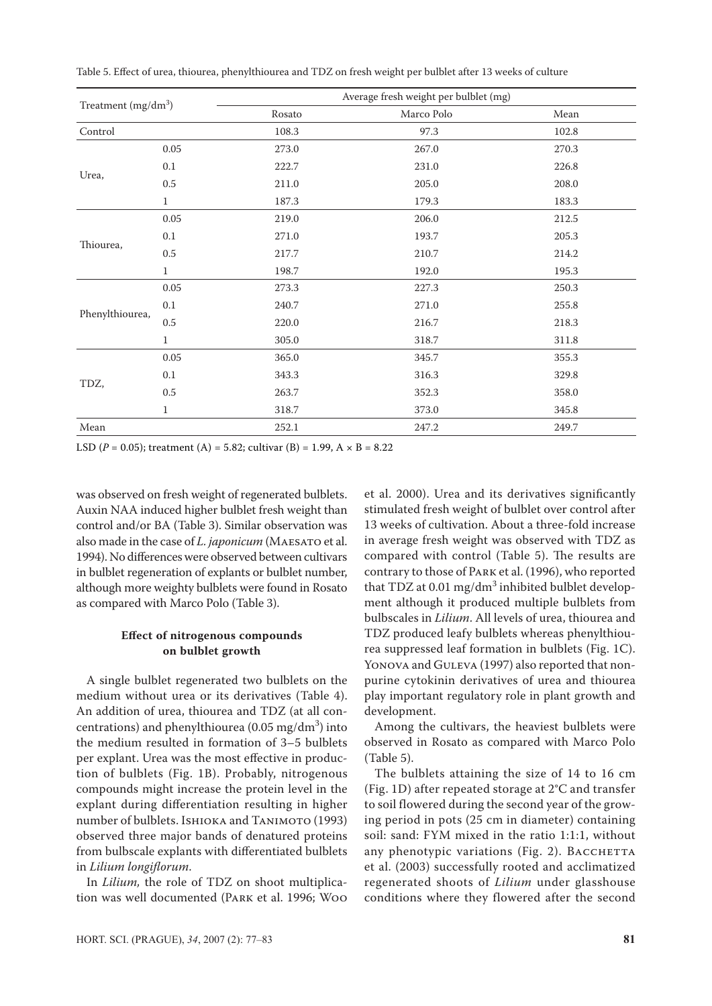| Treatment $(mg/dm3)$ |              |        | Average fresh weight per bulblet (mg) |       |  |
|----------------------|--------------|--------|---------------------------------------|-------|--|
|                      |              | Rosato | Marco Polo                            | Mean  |  |
| Control              |              | 108.3  | 97.3                                  | 102.8 |  |
|                      | 0.05         | 273.0  | 267.0                                 | 270.3 |  |
|                      | $0.1\,$      | 222.7  | 231.0                                 | 226.8 |  |
| Urea,                | 0.5          | 211.0  | 205.0                                 | 208.0 |  |
|                      | $\mathbf{1}$ | 187.3  | 179.3                                 | 183.3 |  |
| Thiourea,            | 0.05         | 219.0  | 206.0                                 | 212.5 |  |
|                      | 0.1          | 271.0  | 193.7                                 | 205.3 |  |
|                      | 0.5          | 217.7  | 210.7                                 | 214.2 |  |
|                      | $\mathbf{1}$ | 198.7  | 192.0                                 | 195.3 |  |
| Phenylthiourea,      | $0.05\,$     | 273.3  | 227.3                                 | 250.3 |  |
|                      | 0.1          | 240.7  | 271.0                                 | 255.8 |  |
|                      | 0.5          | 220.0  | 216.7                                 | 218.3 |  |
|                      | $\mathbf{1}$ | 305.0  | 318.7                                 | 311.8 |  |
| TDZ,                 | 0.05         | 365.0  | 345.7                                 | 355.3 |  |
|                      | 0.1          | 343.3  | 316.3                                 | 329.8 |  |
|                      | 0.5          | 263.7  | 352.3                                 | 358.0 |  |
|                      | $\mathbf{1}$ | 318.7  | 373.0                                 | 345.8 |  |
| Mean                 |              | 252.1  | 247.2                                 | 249.7 |  |

Table 5. Effect of urea, thiourea, phenylthiourea and TDZ on fresh weight per bulblet after 13 weeks of culture

LSD ( $P = 0.05$ ); treatment (A) = 5.82; cultivar (B) = 1.99, A  $\times$  B = 8.22

was observed on fresh weight of regenerated bulblets. Auxin NAA induced higher bulblet fresh weight than control and/or BA (Table 3). Similar observation was also made in the case of *L. japonicum* (Maesato et al. 1994). No differences were observed between cultivars in bulblet regeneration of explants or bulblet number, although more weighty bulblets were found in Rosato as compared with Marco Polo (Table 3).

# **Effect of nitrogenous compounds on bulblet growth**

A single bulblet regenerated two bulblets on the medium without urea or its derivatives (Table 4). An addition of urea, thiourea and TDZ (at all concentrations) and phenylthiourea (0.05 mg/dm<sup>3</sup>) into the medium resulted in formation of 3–5 bulblets per explant. Urea was the most effective in production of bulblets (Fig. 1B). Probably, nitrogenous compounds might increase the protein level in the explant during differentiation resulting in higher number of bulblets. Ishioka and Tanimoto (1993) observed three major bands of denatured proteins from bulbscale explants with differentiated bulblets in *Lilium longiflorum*.

In *Lilium,* the role of TDZ on shoot multiplication was well documented (Park et al. 1996; Woo

et al. 2000). Urea and its derivatives significantly stimulated fresh weight of bulblet over control after 13 weeks of cultivation. About a three-fold increase in average fresh weight was observed with TDZ as compared with control (Table 5). The results are contrary to those of Park et al. (1996), who reported that TDZ at 0.01 mg/dm $3$  inhibited bulblet development although it produced multiple bulblets from bulbscales in *Lilium*. All levels of urea, thiourea and TDZ produced leafy bulblets whereas phenylthiourea suppressed leaf formation in bulblets (Fig. 1C). YONOVA and GULEVA (1997) also reported that nonpurine cytokinin derivatives of urea and thiourea play important regulatory role in plant growth and development.

Among the cultivars, the heaviest bulblets were observed in Rosato as compared with Marco Polo (Table 5).

The bulblets attaining the size of 14 to 16 cm (Fig. 1D) after repeated storage at 2°C and transfer to soil flowered during the second year of the growing period in pots (25 cm in diameter) containing soil: sand: FYM mixed in the ratio 1:1:1, without any phenotypic variations (Fig. 2). BACCHETTA et al. (2003) successfully rooted and acclimatized regenerated shoots of *Lilium* under glasshouse conditions where they flowered after the second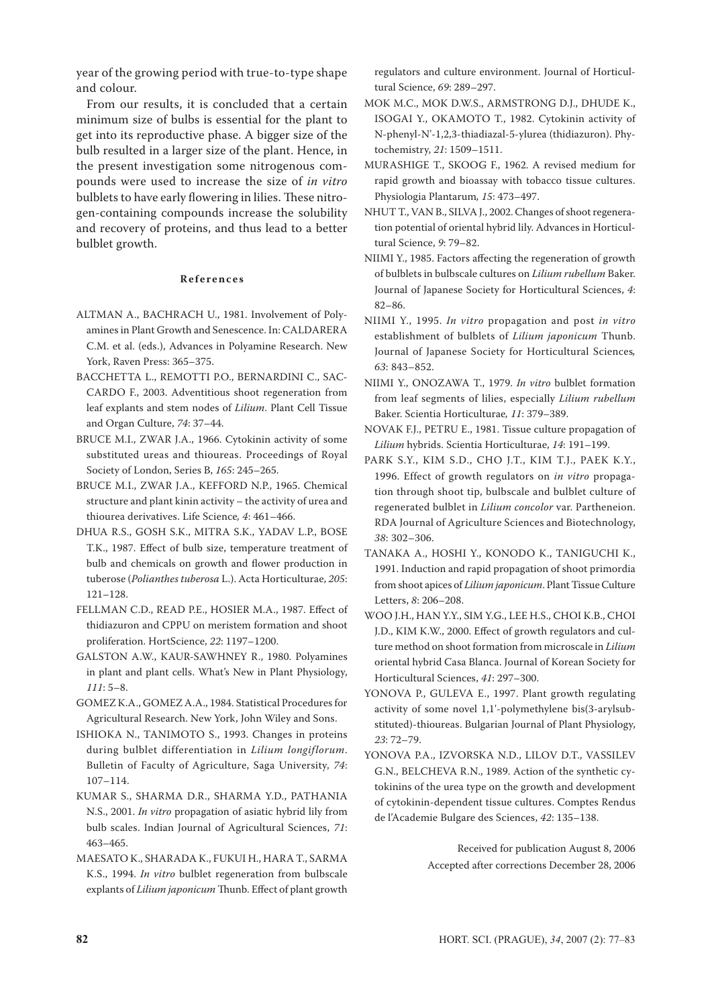year of the growing period with true-to-type shape and colour.

From our results, it is concluded that a certain minimum size of bulbs is essential for the plant to get into its reproductive phase. A bigger size of the bulb resulted in a larger size of the plant. Hence, in the present investigation some nitrogenous compounds were used to increase the size of *in vitro* bulblets to have early flowering in lilies. These nitrogen-containing compounds increase the solubility and recovery of proteins, and thus lead to a better bulblet growth.

#### **R e f e r e n c e s**

- ALTMAN A., BACHRACH U., 1981. Involvement of Polyamines in Plant Growth and Senescence. In: CALDARERA C.M. et al. (eds.), Advances in Polyamine Research. New York, Raven Press: 365–375.
- BACCHETTA L., REMOTTI P.O., BERNARDINI C., SAC-CARDO F., 2003. Adventitious shoot regeneration from leaf explants and stem nodes of *Lilium*. Plant Cell Tissue and Organ Culture, *74*: 37–44.
- BRUCE M.I., ZWAR J.A., 1966. Cytokinin activity of some substituted ureas and thioureas. Proceedings of Royal Society of London, Series B, *165*: 245–265.
- BRUCE M.I., ZWAR J.A., KEFFORD N.P., 1965. Chemical structure and plant kinin activity – the activity of urea and thiourea derivatives. Life Science*, 4*: 461–466.
- DHUA R.S., GOSH S.K., MITRA S.K., YADAV L.P., BOSE T.K., 1987. Effect of bulb size, temperature treatment of bulb and chemicals on growth and flower production in tuberose (*Polianthes tuberosa* L.). Acta Horticulturae, *205*: 121–128.
- FELLMAN C.D., READ P.E., HOSIER M.A., 1987. Effect of thidiazuron and CPPU on meristem formation and shoot proliferation. HortScience, *22*: 1197–1200.
- GALSTON A.W., KAUR-SAWHNEY R., 1980. Polyamines in plant and plant cells. What's New in Plant Physiology, *111*: 5–8.
- GOMEZ K.A., GOMEZ A.A., 1984. Statistical Procedures for Agricultural Research. New York, John Wiley and Sons.
- ISHIOKA N., TANIMOTO S., 1993. Changes in proteins during bulblet differentiation in *Lilium longiflorum*. Bulletin of Faculty of Agriculture, Saga University, *74*: 107–114.
- KUMAR S., SHARMA D.R., SHARMA Y.D., PATHANIA N.S., 2001. *In vitro* propagation of asiatic hybrid lily from bulb scales. Indian Journal of Agricultural Sciences, *71*: 463–465.
- MAESATO K., SHARADA K., FUKUI H., HARA T., SARMA K.S., 1994. *In vitro* bulblet regeneration from bulbscale explants of *Lilium japonicum* Thunb. Effect of plant growth

regulators and culture environment. Journal of Horticultural Science, *69*: 289–297.

- MOK M.C., MOK D.W.S., ARMSTRONG D.J., DHUDE K., ISOGAI Y., OKAMOTO T., 1982. Cytokinin activity of N-phenyl-N'-1,2,3-thiadiazal-5-ylurea (thidiazuron). Phytochemistry, *21*: 1509–1511.
- MURASHIGE T., SKOOG F., 1962. A revised medium for rapid growth and bioassay with tobacco tissue cultures. Physiologia Plantarum*, 15*: 473–497.
- NHUT T., VAN B., SILVA J., 2002. Changes of shoot regeneration potential of oriental hybrid lily. Advances in Horticultural Science, *9*: 79–82.
- NIIMI Y., 1985. Factors affecting the regeneration of growth of bulblets in bulbscale cultures on *Lilium rubellum* Baker. Journal of Japanese Society for Horticultural Sciences, *4*: 82–86.
- NIIMI Y., 1995. *In vitro* propagation and post *in vitro* establishment of bulblets of *Lilium japonicum* Thunb. Journal of Japanese Society for Horticultural Sciences*, 63*: 843–852.
- NIIMI Y., ONOZAWA T., 1979. *In vitro* bulblet formation from leaf segments of lilies, especially *Lilium rubellum* Baker. Scientia Horticulturae*, 11*: 379–389.
- NOVAK F.J., PETRU E., 1981. Tissue culture propagation of *Lilium* hybrids. Scientia Horticulturae, *14*: 191–199.
- PARK S.Y., KIM S.D., CHO J.T., KIM T.J., PAEK K.Y., 1996. Effect of growth regulators on *in vitro* propagation through shoot tip, bulbscale and bulblet culture of regenerated bulblet in *Lilium concolor* var. Partheneion. RDA Journal of Agriculture Sciences and Biotechnology, *38*: 302–306.
- TANAKA A., HOSHI Y., KONODO K., TANIGUCHI K., 1991. Induction and rapid propagation of shoot primordia from shoot apices of *Lilium japonicum*. Plant Tissue Culture Letters, *8*: 206–208.
- WOO J.H., HAN Y.Y., SIM Y.G., LEE H.S., CHOI K.B., CHOI J.D., KIM K.W., 2000. Effect of growth regulators and culture method on shoot formation from microscale in *Lilium* oriental hybrid Casa Blanca. Journal of Korean Society for Horticultural Sciences, *41*: 297–300.
- YONOVA P., GULEVA E., 1997. Plant growth regulating activity of some novel 1,1'-polymethylene bis(3-arylsubstituted)-thioureas. Bulgarian Journal of Plant Physiology, *23*: 72–79.
- YONOVA P.A., IZVORSKA N.D., LILOV D.T., VASSILEV G.N., BELCHEVA R.N., 1989. Action of the synthetic cytokinins of the urea type on the growth and development of cytokinin-dependent tissue cultures. Comptes Rendus de l'Academie Bulgare des Sciences, *42*: 135–138.

Received for publication August 8, 2006 Accepted after corrections December 28, 2006